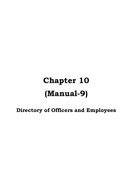## **Chapter 10 (Manual-9)**

**Directory of Officers and Employees**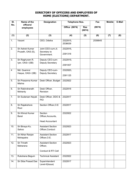## **DIRECTORY OF OFFICERS AND EMPLOYEES OF HOME (ELECTIONS) DEPARTMENT.**

| SI.              | Name of the                          | <b>Designation</b>                                         | <b>Telephone Nos.</b> |                      | Fax     | <b>Mobile</b> | <b>E-Mail</b> |
|------------------|--------------------------------------|------------------------------------------------------------|-----------------------|----------------------|---------|---------------|---------------|
| No.              | officers/<br>employees               |                                                            | Office (0674)         | <b>Res</b><br>(0674) | (0674)  |               |               |
| (1)              | (2)                                  | (3)                                                        | (4)                   | (5)                  | (6)     | (7)           | (8)           |
| 1.               | Vacant                               | CEO, Odisha                                                | 2322815,<br>2536639   |                      | 2536645 |               |               |
| 2.               | Sri Ashok Kumar<br>Pruseth, OAS (S), | Joint CEO-cum-Jt.<br>Secretary to<br>Government.           | 2322816,<br>2391318   |                      |         |               |               |
| 3.               | Sri Raghuram R.<br>Iyer, OAS-I (SB)  | Deputy CEO-cum-<br>Deputy Secretary                        | 2322819,<br>2391007   |                      |         |               |               |
| $\overline{4}$   | Md. Quamrul<br>Haque, OAS-I (SB)     | Deputy CEO-cum-<br>Deputy Secretary                        | 2322820,<br>2391125   |                      |         |               |               |
| 5.               | Sri Prasanna Kumar<br>Mishra         | Desk Officer, Budget                                       | 2322822               |                      |         |               |               |
| 6.               | Sri Rabindranath<br>Mohanty          | Desk Officer,<br>Revision                                  | 2322818               |                      |         |               |               |
| $\overline{7}$ . | Sri Sudarsan Nayak                   | Desk Officer, DDO &<br><b>PIO</b>                          | 2322817               |                      |         |               |               |
| 8.               | Sri Rajakishore<br>Rout              | Section Officer, O.E                                       | 2322817               |                      |         |               |               |
| 9.               | Sri Khirod Kumar<br><b>Baral</b>     | Section<br>Officer, Accounts,<br><b>Head Accountant</b>    | 2322822               |                      |         |               |               |
| 10.              | Sri Binaya Ku.<br>Sahoo              | <b>Assistant Section</b><br>Officer, Conduct               | 2322823               |                      |         |               |               |
| 11.              | Sri Nihar Ranjan<br>Mohapatra        | <b>Assistant Section</b><br>Officer, O.E.                  | 2322817               |                      |         |               |               |
| 12.              | <b>Sri Trinath</b><br>Maharana       | <b>Assistant Section</b><br>Officer,<br>Conduct & RTI Cell | 2322823               |                      |         |               |               |
| 13.              | Rukshana Begum                       | <b>Technical Assistant</b>                                 | 2322822               |                      |         |               |               |
| 14.              | Sri Siba Prasad Das                  | Superintendent<br>Level-II(Issue)                          | 2322817               |                      |         |               |               |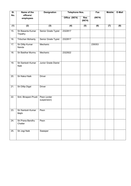| SI.               | Name of the                   | <b>Designation</b>         | <b>Telephone Nos.</b> |                      | Fax    | <b>Mobile</b> | E-Mail |
|-------------------|-------------------------------|----------------------------|-----------------------|----------------------|--------|---------------|--------|
| No.               | officers/<br>employees        |                            | <b>Office (0674)</b>  | <b>Res</b><br>(0674) | (0674) |               |        |
| (1)               | $\overline{(2)}$              | $\overline{(3)}$           | (4)                   | (5)                  | (6)    | (7)           | (8)    |
| 15.               | Sri Basanta Kumar<br>Tripathy | Senior Grade Typist        | 2322817               |                      |        |               |        |
| 16.               | <b>Trilochan Mohanty</b>      | Senior Grade Typist        | 2322817               |                      |        |               |        |
| 17.               | Sri Dillip Kumar<br>Nanda     | Mechanic                   |                       |                      | 239353 |               |        |
| 18.               | Sri Baidhar Murmu             | Mechanic                   | 2322822               |                      |        |               |        |
| 19.               | Sri Santosh Kumar<br>Naik     | Junior Grade Diarist       |                       |                      |        |               |        |
| 20.               | Sri Nakul Naik                | <b>Driver</b>              |                       |                      |        |               |        |
| 21.               | Sri Dillip Digal              | <b>Driver</b>              |                       |                      |        |               |        |
| $\overline{22}$ . | Smt. Binapani Prusti          | Peon (under<br>suspension) |                       |                      |        |               |        |
| 23.               | Sri Santosh Kumar<br>Majhi    | Peon                       |                       |                      |        |               |        |
| 24.               | Sri Prana Bandhu<br>Chatter   | Peon                       |                       |                      |        |               |        |
| 25.               | Sri Jogi Naik                 | Sweeper                    |                       |                      |        |               |        |